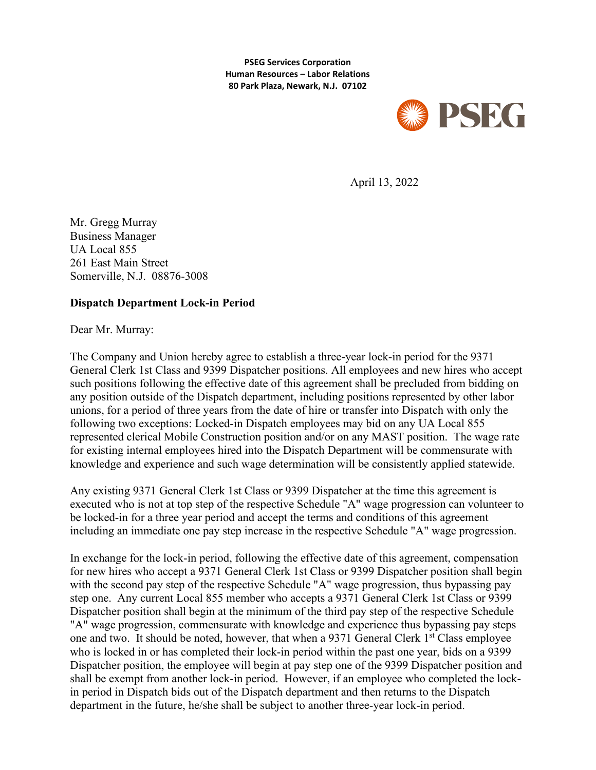**PSEG Services Corporation Human Resources – Labor Relations 80 Park Plaza, Newark, N.J. 07102**



April 13, 2022

Mr. Gregg Murray Business Manager UA Local 855 261 East Main Street Somerville, N.J. 08876-3008

## **Dispatch Department Lock-in Period**

Dear Mr. Murray:

The Company and Union hereby agree to establish a three-year lock-in period for the 9371 General Clerk 1st Class and 9399 Dispatcher positions. All employees and new hires who accept such positions following the effective date of this agreement shall be precluded from bidding on any position outside of the Dispatch department, including positions represented by other labor unions, for a period of three years from the date of hire or transfer into Dispatch with only the following two exceptions: Locked-in Dispatch employees may bid on any UA Local 855 represented clerical Mobile Construction position and/or on any MAST position. The wage rate for existing internal employees hired into the Dispatch Department will be commensurate with knowledge and experience and such wage determination will be consistently applied statewide.

Any existing 9371 General Clerk 1st Class or 9399 Dispatcher at the time this agreement is executed who is not at top step of the respective Schedule "A" wage progression can volunteer to be locked-in for a three year period and accept the terms and conditions of this agreement including an immediate one pay step increase in the respective Schedule "A" wage progression.

In exchange for the lock-in period, following the effective date of this agreement, compensation for new hires who accept a 9371 General Clerk 1st Class or 9399 Dispatcher position shall begin with the second pay step of the respective Schedule "A" wage progression, thus bypassing pay step one. Any current Local 855 member who accepts a 9371 General Clerk 1st Class or 9399 Dispatcher position shall begin at the minimum of the third pay step of the respective Schedule "A" wage progression, commensurate with knowledge and experience thus bypassing pay steps one and two. It should be noted, however, that when a 9371 General Clerk 1<sup>st</sup> Class employee who is locked in or has completed their lock-in period within the past one year, bids on a 9399 Dispatcher position, the employee will begin at pay step one of the 9399 Dispatcher position and shall be exempt from another lock-in period. However, if an employee who completed the lockin period in Dispatch bids out of the Dispatch department and then returns to the Dispatch department in the future, he/she shall be subject to another three-year lock-in period.